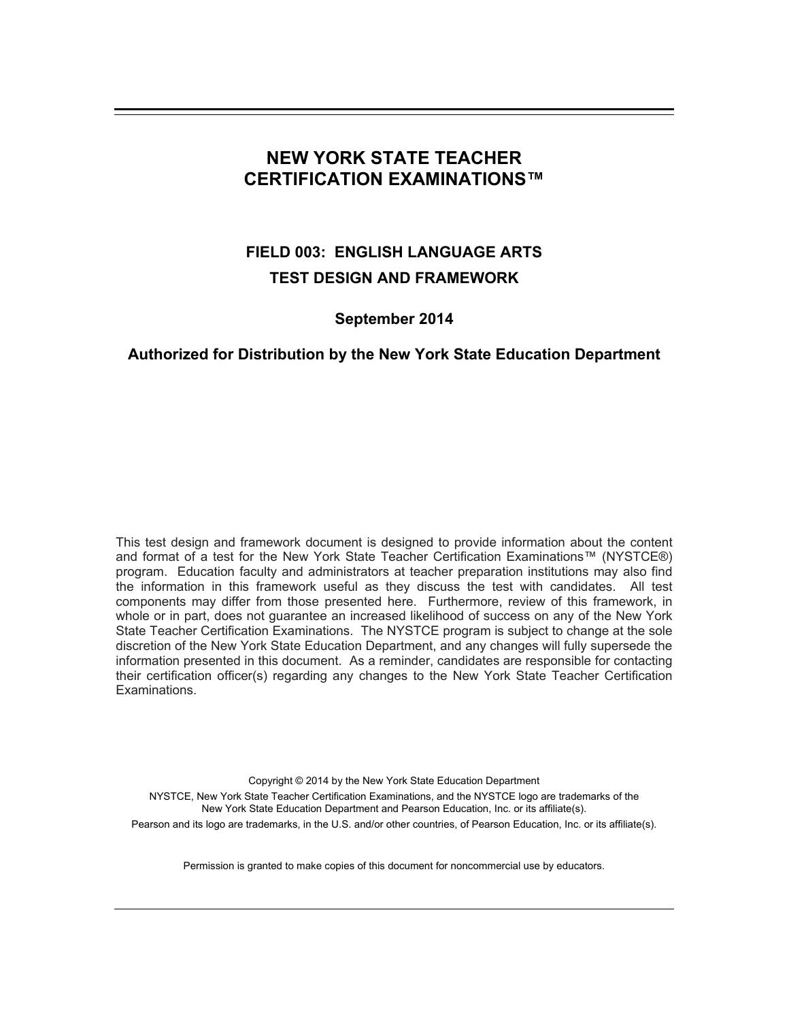## **NEW YORK STATE TEACHER CERTIFICATION EXAMINATIONS™**

# **FIELD 003: ENGLISH LANGUAGE ARTS TEST DESIGN AND FRAMEWORK**

## **September 2014**

## **Authorized for Distribution by the New York State Education Department**

This test design and framework document is designed to provide information about the content and format of a test for the New York State Teacher Certification Examinations™ (NYSTCE®) program. Education faculty and administrators at teacher preparation institutions may also find the information in this framework useful as they discuss the test with candidates. All test components may differ from those presented here. Furthermore, review of this framework, in whole or in part, does not guarantee an increased likelihood of success on any of the New York State Teacher Certification Examinations. The NYSTCE program is subject to change at the sole discretion of the New York State Education Department, and any changes will fully supersede the information presented in this document. As a reminder, candidates are responsible for contacting their certification officer(s) regarding any changes to the New York State Teacher Certification Examinations.

Copyright © 2014 by the New York State Education Department NYSTCE, New York State Teacher Certification Examinations, and the NYSTCE logo are trademarks of the New York State Education Department and Pearson Education, Inc. or its affiliate(s). Pearson and its logo are trademarks, in the U.S. and/or other countries, of Pearson Education, Inc. or its affiliate(s).

Permission is granted to make copies of this document for noncommercial use by educators.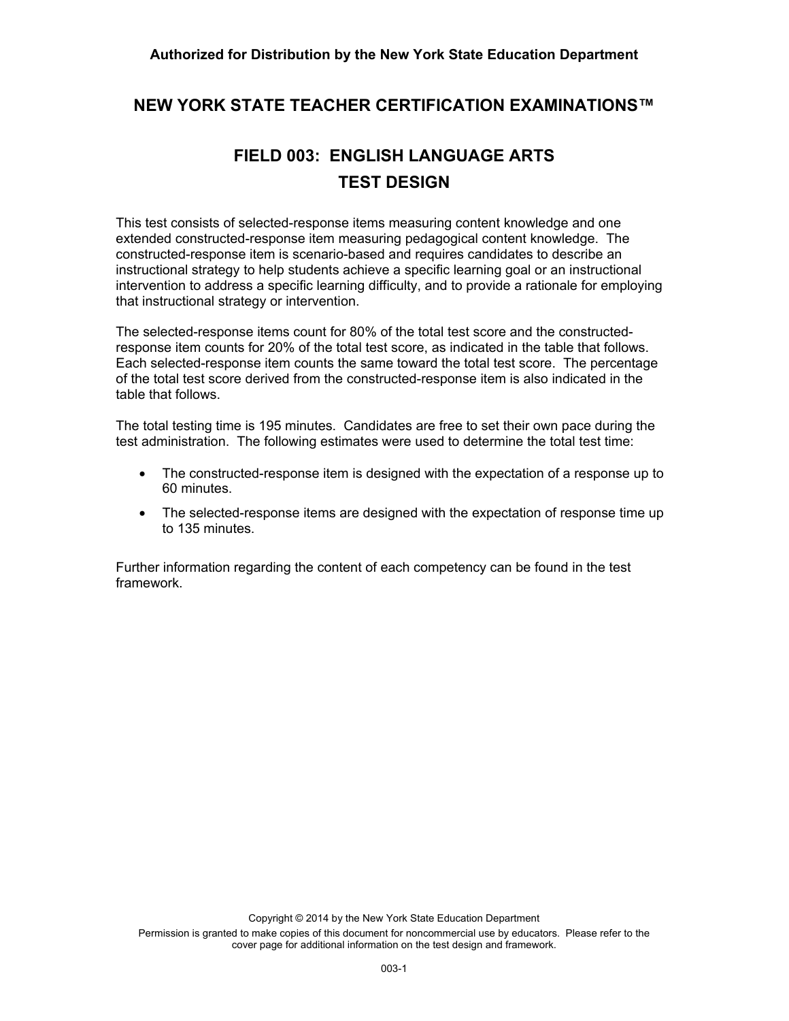## **NEW YORK STATE TEACHER CERTIFICATION EXAMINATIONS™**

# **FIELD 003: ENGLISH LANGUAGE ARTS TEST DESIGN**

This test consists of selected-response items measuring content knowledge and one extended constructed-response item measuring pedagogical content knowledge. The constructed-response item is scenario-based and requires candidates to describe an instructional strategy to help students achieve a specific learning goal or an instructional intervention to address a specific learning difficulty, and to provide a rationale for employing that instructional strategy or intervention.

The selected-response items count for 80% of the total test score and the constructedresponse item counts for 20% of the total test score, as indicated in the table that follows. Each selected-response item counts the same toward the total test score. The percentage of the total test score derived from the constructed-response item is also indicated in the table that follows.

The total testing time is 195 minutes. Candidates are free to set their own pace during the test administration. The following estimates were used to determine the total test time:

- The constructed-response item is designed with the expectation of a response up to 60 minutes.
- The selected-response items are designed with the expectation of response time up to 135 minutes.

Further information regarding the content of each competency can be found in the test framework.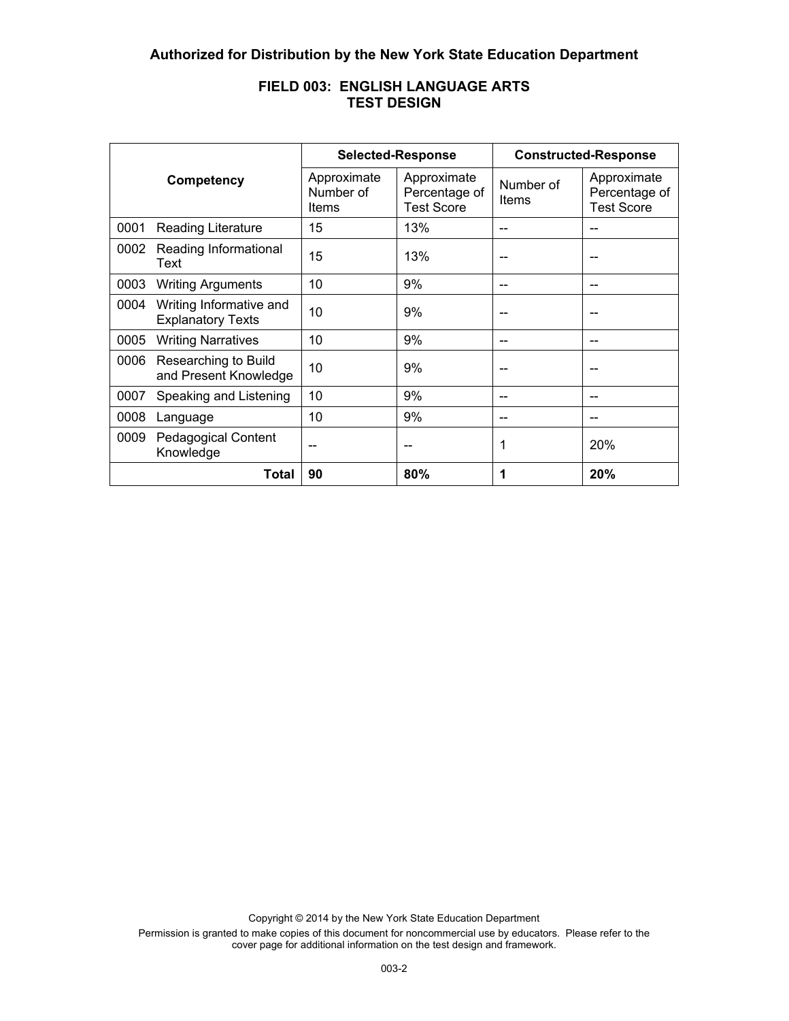|      |                                                     | <b>Selected-Response</b>          |                                                   | <b>Constructed-Response</b> |                                                   |
|------|-----------------------------------------------------|-----------------------------------|---------------------------------------------------|-----------------------------|---------------------------------------------------|
|      | Competency                                          | Approximate<br>Number of<br>Items | Approximate<br>Percentage of<br><b>Test Score</b> | Number of<br><b>Items</b>   | Approximate<br>Percentage of<br><b>Test Score</b> |
| 0001 | <b>Reading Literature</b>                           | 15                                | 13%                                               |                             |                                                   |
| 0002 | Reading Informational<br>Text                       | 15                                | 13%                                               |                             |                                                   |
| 0003 | <b>Writing Arguments</b>                            | 10                                | 9%                                                |                             |                                                   |
| 0004 | Writing Informative and<br><b>Explanatory Texts</b> | 10                                | 9%                                                | --                          |                                                   |
| 0005 | <b>Writing Narratives</b>                           | 10                                | 9%                                                |                             |                                                   |
| 0006 | Researching to Build<br>and Present Knowledge       | 10                                | 9%                                                |                             |                                                   |
| 0007 | Speaking and Listening                              | 10                                | 9%                                                |                             |                                                   |
| 0008 | Language                                            | 10                                | 9%                                                |                             | --                                                |
| 0009 | <b>Pedagogical Content</b><br>Knowledge             |                                   |                                                   |                             | 20%                                               |
|      | <b>Total</b>                                        | 90                                | 80%                                               | 1                           | 20%                                               |

## **FIELD 003: ENGLISH LANGUAGE ARTS TEST DESIGN**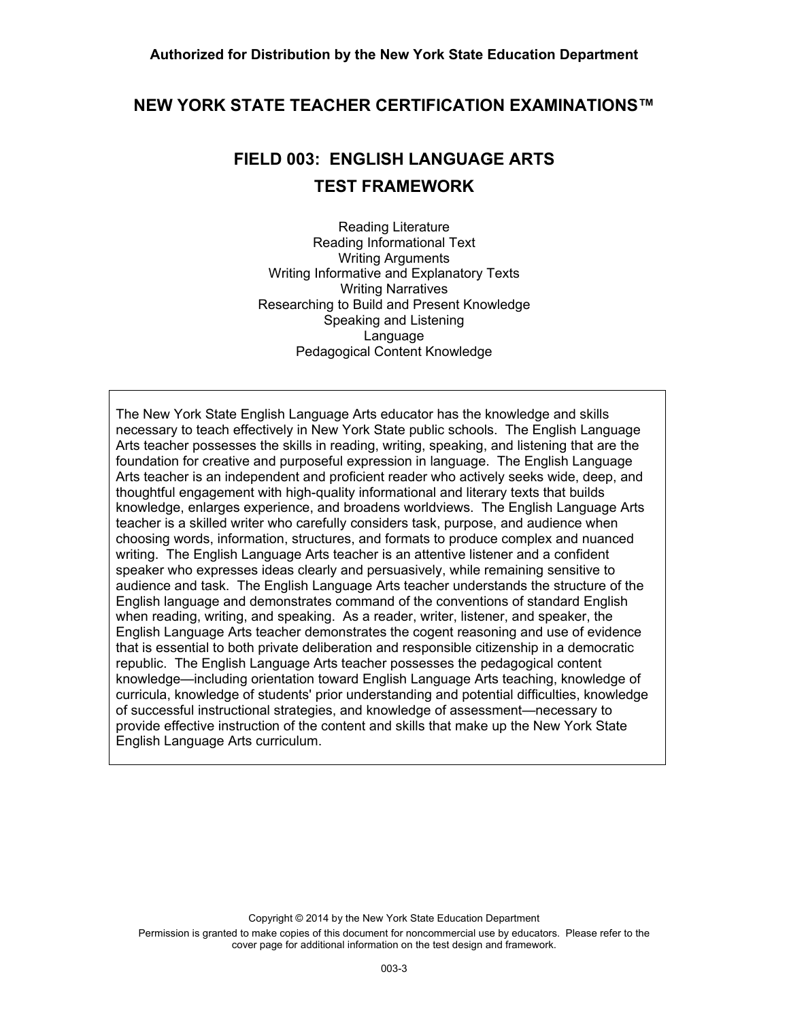## **NEW YORK STATE TEACHER CERTIFICATION EXAMINATIONS™**

# **FIELD 003: ENGLISH LANGUAGE ARTS TEST FRAMEWORK**

Reading Literature Reading Informational Text Writing Arguments Writing Informative and Explanatory Texts Writing Narratives Researching to Build and Present Knowledge Speaking and Listening Language Pedagogical Content Knowledge

The New York State English Language Arts educator has the knowledge and skills necessary to teach effectively in New York State public schools. The English Language Arts teacher possesses the skills in reading, writing, speaking, and listening that are the foundation for creative and purposeful expression in language. The English Language Arts teacher is an independent and proficient reader who actively seeks wide, deep, and thoughtful engagement with high-quality informational and literary texts that builds knowledge, enlarges experience, and broadens worldviews. The English Language Arts teacher is a skilled writer who carefully considers task, purpose, and audience when choosing words, information, structures, and formats to produce complex and nuanced writing. The English Language Arts teacher is an attentive listener and a confident speaker who expresses ideas clearly and persuasively, while remaining sensitive to audience and task. The English Language Arts teacher understands the structure of the English language and demonstrates command of the conventions of standard English when reading, writing, and speaking. As a reader, writer, listener, and speaker, the English Language Arts teacher demonstrates the cogent reasoning and use of evidence that is essential to both private deliberation and responsible citizenship in a democratic republic. The English Language Arts teacher possesses the pedagogical content knowledge—including orientation toward English Language Arts teaching, knowledge of curricula, knowledge of students' prior understanding and potential difficulties, knowledge of successful instructional strategies, and knowledge of assessment—necessary to provide effective instruction of the content and skills that make up the New York State English Language Arts curriculum.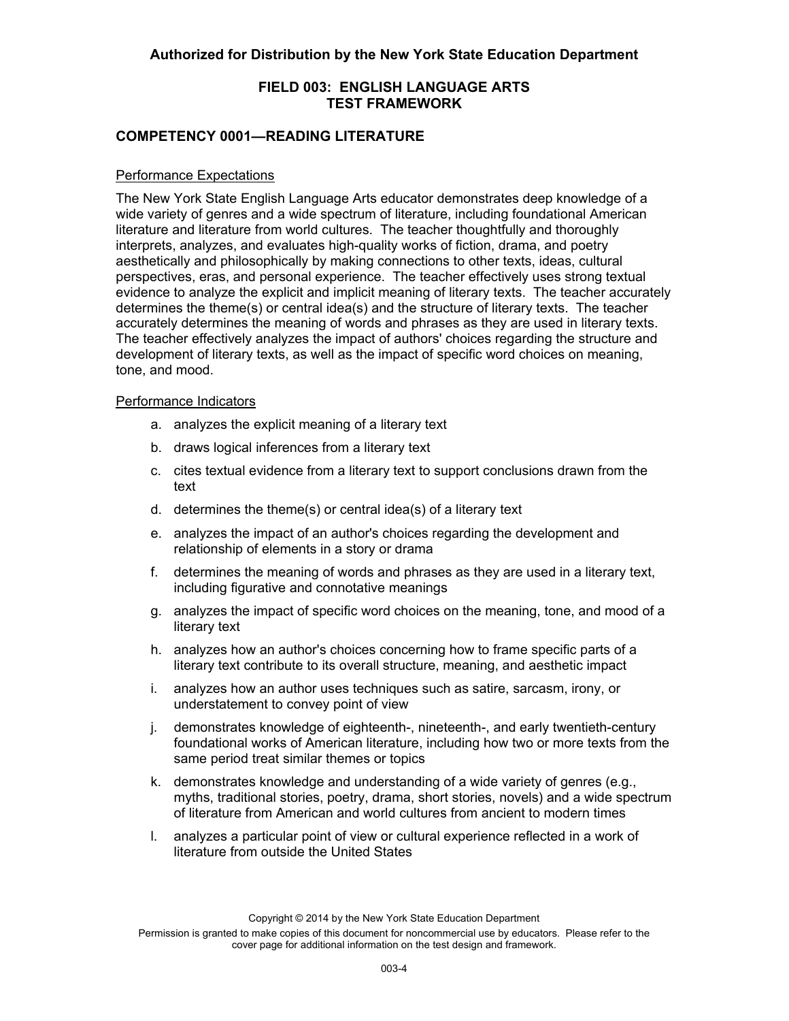## **COMPETENCY 0001—READING LITERATURE**

#### Performance Expectations

The New York State English Language Arts educator demonstrates deep knowledge of a wide variety of genres and a wide spectrum of literature, including foundational American literature and literature from world cultures. The teacher thoughtfully and thoroughly interprets, analyzes, and evaluates high-quality works of fiction, drama, and poetry aesthetically and philosophically by making connections to other texts, ideas, cultural perspectives, eras, and personal experience. The teacher effectively uses strong textual evidence to analyze the explicit and implicit meaning of literary texts. The teacher accurately determines the theme(s) or central idea(s) and the structure of literary texts. The teacher accurately determines the meaning of words and phrases as they are used in literary texts. The teacher effectively analyzes the impact of authors' choices regarding the structure and development of literary texts, as well as the impact of specific word choices on meaning, tone, and mood.

#### Performance Indicators

- a. analyzes the explicit meaning of a literary text
- b. draws logical inferences from a literary text
- text c. cites textual evidence from a literary text to support conclusions drawn from the
- d. determines the theme(s) or central idea(s) of a literary text
- e. analyzes the impact of an author's choices regarding the development and relationship of elements in a story or drama
- f. determines the meaning of words and phrases as they are used in a literary text, including figurative and connotative meanings
- g. analyzes the impact of specific word choices on the meaning, tone, and mood of a literary text
- h. analyzes how an author's choices concerning how to frame specific parts of a literary text contribute to its overall structure, meaning, and aesthetic impact
- i. analyzes how an author uses techniques such as satire, sarcasm, irony, or understatement to convey point of view
- j. demonstrates knowledge of eighteenth-, nineteenth-, and early twentieth-century foundational works of American literature, including how two or more texts from the same period treat similar themes or topics
- k. demonstrates knowledge and understanding of a wide variety of genres (e.g., myths, traditional stories, poetry, drama, short stories, novels) and a wide spectrum of literature from American and world cultures from ancient to modern times
- l. analyzes a particular point of view or cultural experience reflected in a work of literature from outside the United States

Permission is granted to make copies of this document for noncommercial use by educators. Please refer to the cover page for additional information on the test design and framework.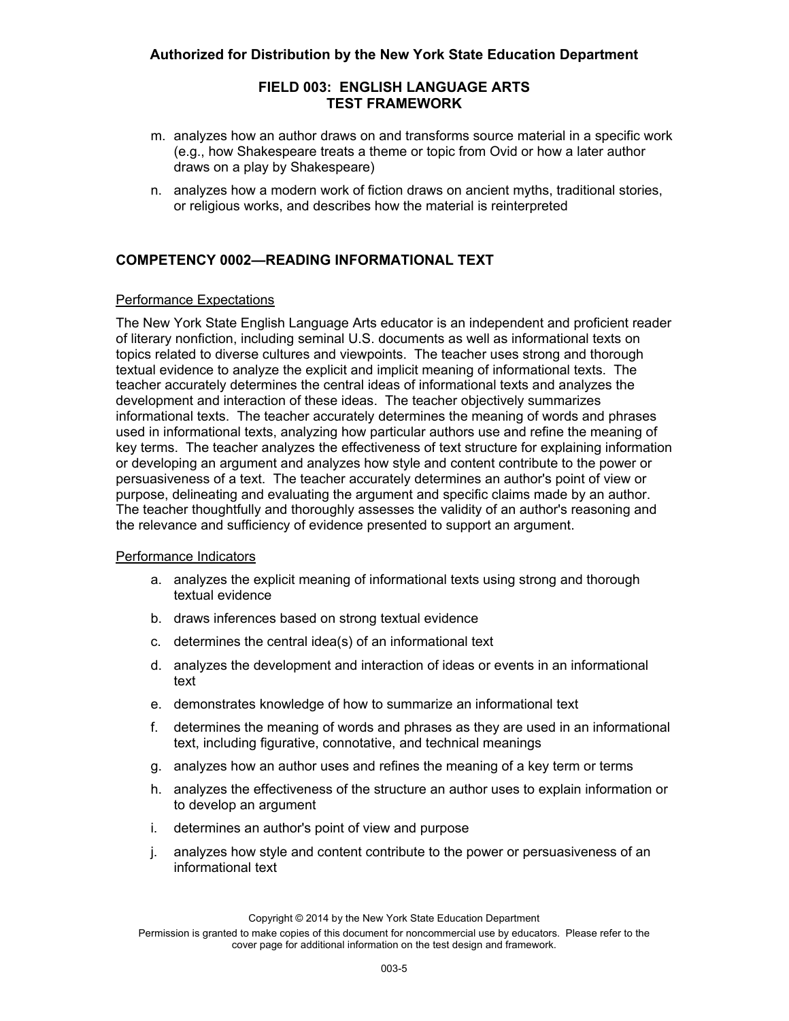- m. analyzes how an author draws on and transforms source material in a specific work (e.g., how Shakespeare treats a theme or topic from Ovid or how a later author draws on a play by Shakespeare)
- n. analyzes how a modern work of fiction draws on ancient myths, traditional stories, or religious works, and describes how the material is reinterpreted

## **COMPETENCY 0002—READING INFORMATIONAL TEXT**

#### Performance Expectations

purpose, delineating and evaluating the argument and specific claims made by an author. The New York State English Language Arts educator is an independent and proficient reader of literary nonfiction, including seminal U.S. documents as well as informational texts on topics related to diverse cultures and viewpoints. The teacher uses strong and thorough textual evidence to analyze the explicit and implicit meaning of informational texts. The teacher accurately determines the central ideas of informational texts and analyzes the development and interaction of these ideas. The teacher objectively summarizes informational texts. The teacher accurately determines the meaning of words and phrases used in informational texts, analyzing how particular authors use and refine the meaning of key terms. The teacher analyzes the effectiveness of text structure for explaining information or developing an argument and analyzes how style and content contribute to the power or persuasiveness of a text. The teacher accurately determines an author's point of view or The teacher thoughtfully and thoroughly assesses the validity of an author's reasoning and the relevance and sufficiency of evidence presented to support an argument.

#### Performance Indicators

- a. analyzes the explicit meaning of informational texts using strong and thorough textual evidence
- b. draws inferences based on strong textual evidence
- c. determines the central idea(s) of an informational text
- text d. analyzes the development and interaction of ideas or events in an informational
- e. demonstrates knowledge of how to summarize an informational text
- f. determines the meaning of words and phrases as they are used in an informational text, including figurative, connotative, and technical meanings
- g. analyzes how an author uses and refines the meaning of a key term or terms
- h. analyzes the effectiveness of the structure an author uses to explain information or to develop an argument
- i. determines an author's point of view and purpose
- j. analyzes how style and content contribute to the power or persuasiveness of an informational text

Permission is granted to make copies of this document for noncommercial use by educators. Please refer to the cover page for additional information on the test design and framework.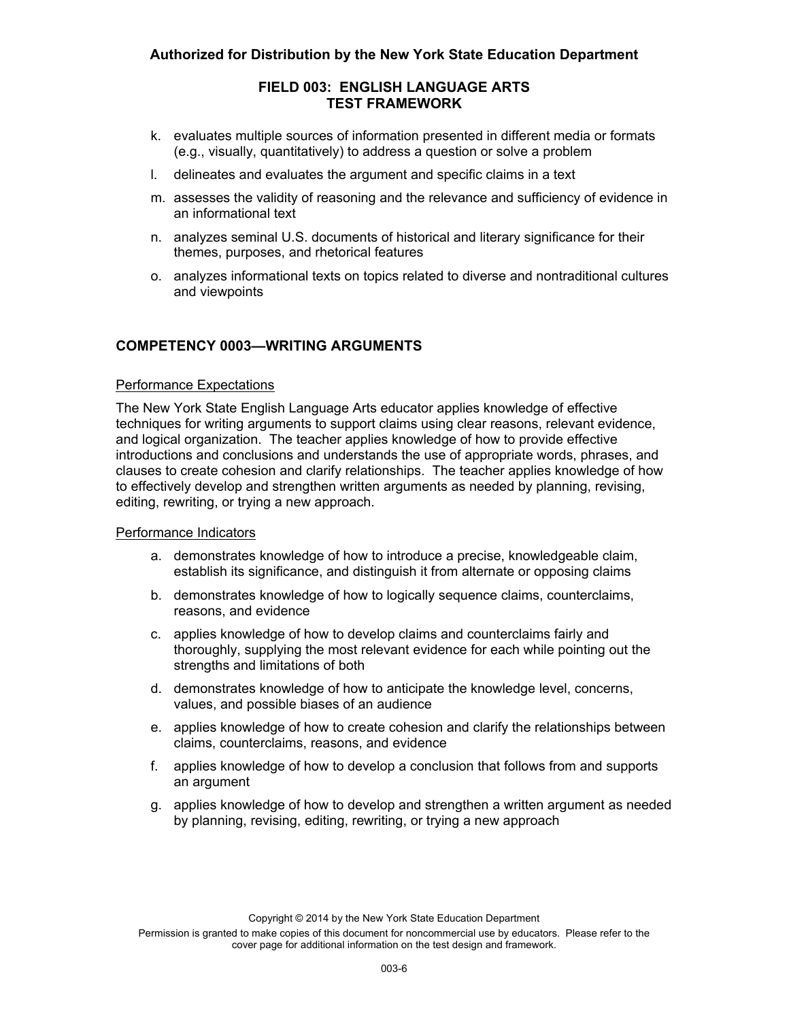- k. evaluates multiple sources of information presented in different media or formats (e.g., visually, quantitatively) to address a question or solve a problem
- l. delineates and evaluates the argument and specific claims in a text
- m. assesses the validity of reasoning and the relevance and sufficiency of evidence in an informational text
- n. analyzes seminal U.S. documents of historical and literary significance for their themes, purposes, and rhetorical features
- o. analyzes informational texts on topics related to diverse and nontraditional cultures and viewpoints

## **COMPETENCY 0003—WRITING ARGUMENTS**

#### Performance Expectations

The New York State English Language Arts educator applies knowledge of effective techniques for writing arguments to support claims using clear reasons, relevant evidence, and logical organization. The teacher applies knowledge of how to provide effective introductions and conclusions and understands the use of appropriate words, phrases, and clauses to create cohesion and clarify relationships. The teacher applies knowledge of how to effectively develop and strengthen written arguments as needed by planning, revising, editing, rewriting, or trying a new approach.

#### Performance Indicators

- a. demonstrates knowledge of how to introduce a precise, knowledgeable claim, establish its significance, and distinguish it from alternate or opposing claims
- b. demonstrates knowledge of how to logically sequence claims, counterclaims, reasons, and evidence
- c. applies knowledge of how to develop claims and counterclaims fairly and thoroughly, supplying the most relevant evidence for each while pointing out the strengths and limitations of both
- d. demonstrates knowledge of how to anticipate the knowledge level, concerns, values, and possible biases of an audience
- e. applies knowledge of how to create cohesion and clarify the relationships between claims, counterclaims, reasons, and evidence
- an argument f. applies knowledge of how to develop a conclusion that follows from and supports
- q. applies knowledge of how to develop and strengthen a written argument as needed by planning, revising, editing, rewriting, or trying a new approach

Permission is granted to make copies of this document for noncommercial use by educators. Please refer to the cover page for additional information on the test design and framework.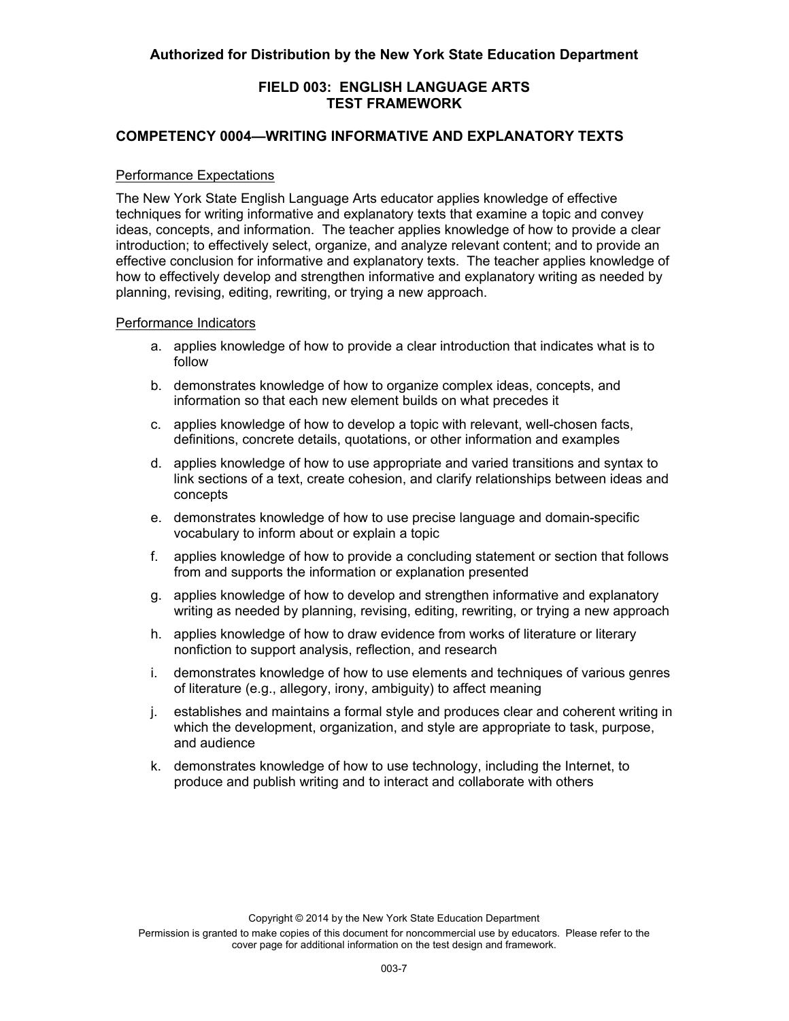## **COMPETENCY 0004—WRITING INFORMATIVE AND EXPLANATORY TEXTS**

#### Performance Expectations

The New York State English Language Arts educator applies knowledge of effective techniques for writing informative and explanatory texts that examine a topic and convey ideas, concepts, and information. The teacher applies knowledge of how to provide a clear introduction; to effectively select, organize, and analyze relevant content; and to provide an effective conclusion for informative and explanatory texts. The teacher applies knowledge of how to effectively develop and strengthen informative and explanatory writing as needed by planning, revising, editing, rewriting, or trying a new approach.

#### Performance Indicators

- a. applies knowledge of how to provide a clear introduction that indicates what is to follow
- b. demonstrates knowledge of how to organize complex ideas, concepts, and information so that each new element builds on what precedes it
- c. applies knowledge of how to develop a topic with relevant, well-chosen facts, definitions, concrete details, quotations, or other information and examples
- d. applies knowledge of how to use appropriate and varied transitions and syntax to link sections of a text, create cohesion, and clarify relationships between ideas and concepts
- e. demonstrates knowledge of how to use precise language and domain-specific vocabulary to inform about or explain a topic
- f. applies knowledge of how to provide a concluding statement or section that follows from and supports the information or explanation presented
- g. applies knowledge of how to develop and strengthen informative and explanatory writing as needed by planning, revising, editing, rewriting, or trying a new approach
- h. applies knowledge of how to draw evidence from works of literature or literary nonfiction to support analysis, reflection, and research
- i. demonstrates knowledge of how to use elements and techniques of various genres of literature (e.g., allegory, irony, ambiguity) to affect meaning
- j. establishes and maintains a formal style and produces clear and coherent writing in which the development, organization, and style are appropriate to task, purpose, and audience
- k. demonstrates knowledge of how to use technology, including the Internet, to produce and publish writing and to interact and collaborate with others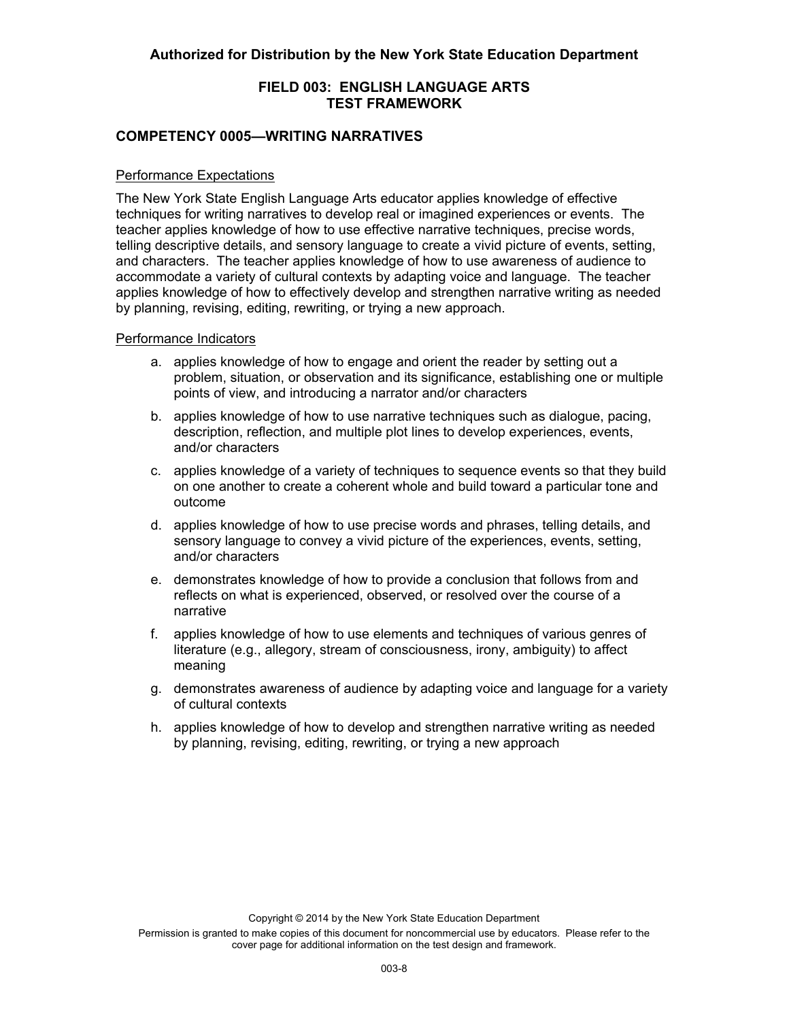## **COMPETENCY 0005—WRITING NARRATIVES**

#### Performance Expectations

The New York State English Language Arts educator applies knowledge of effective techniques for writing narratives to develop real or imagined experiences or events. The teacher applies knowledge of how to use effective narrative techniques, precise words, telling descriptive details, and sensory language to create a vivid picture of events, setting, and characters. The teacher applies knowledge of how to use awareness of audience to accommodate a variety of cultural contexts by adapting voice and language. The teacher applies knowledge of how to effectively develop and strengthen narrative writing as needed by planning, revising, editing, rewriting, or trying a new approach.

#### Performance Indicators

- a. applies knowledge of how to engage and orient the reader by setting out a problem, situation, or observation and its significance, establishing one or multiple points of view, and introducing a narrator and/or characters
- b. applies knowledge of how to use narrative techniques such as dialogue, pacing, description, reflection, and multiple plot lines to develop experiences, events, and/or characters
- c. applies knowledge of a variety of techniques to sequence events so that they build on one another to create a coherent whole and build toward a particular tone and outcome
- d. applies knowledge of how to use precise words and phrases, telling details, and sensory language to convey a vivid picture of the experiences, events, setting, and/or characters
- e. demonstrates knowledge of how to provide a conclusion that follows from and reflects on what is experienced, observed, or resolved over the course of a narrative
- f. applies knowledge of how to use elements and techniques of various genres of literature (e.g., allegory, stream of consciousness, irony, ambiguity) to affect meaning
- g. demonstrates awareness of audience by adapting voice and language for a variety of cultural contexts
- by planning, revising, editing, rewriting, or trying a new approach h. applies knowledge of how to develop and strengthen narrative writing as needed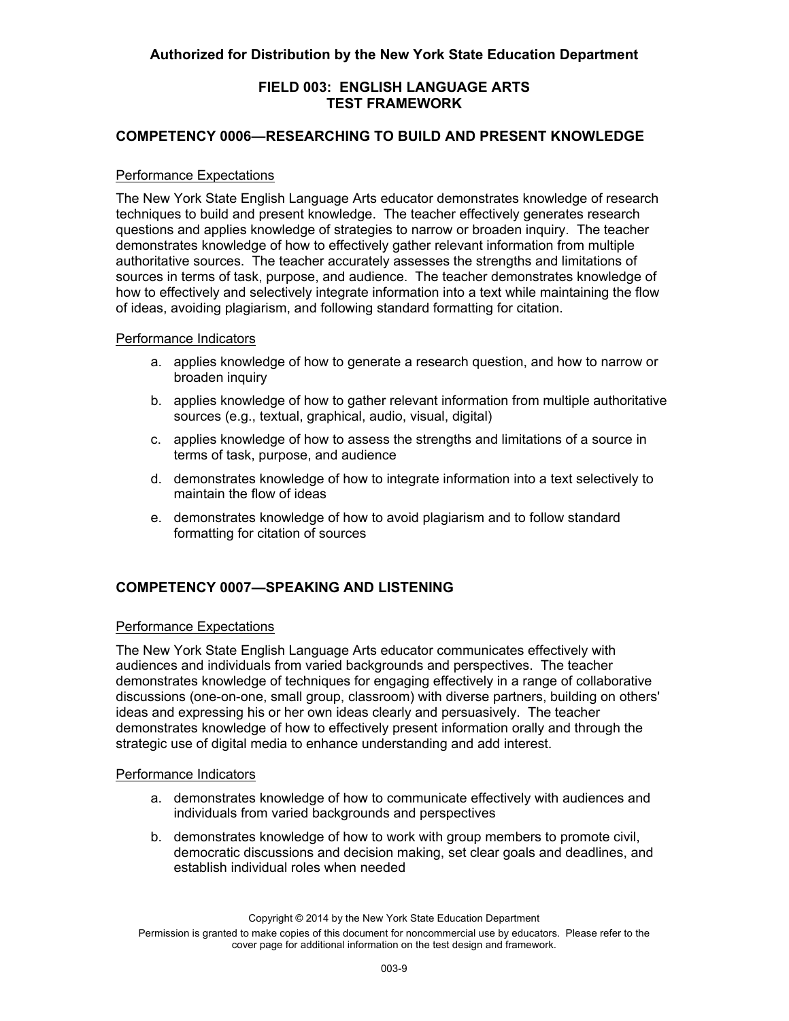## **COMPETENCY 0006—RESEARCHING TO BUILD AND PRESENT KNOWLEDGE**

#### Performance Expectations

The New York State English Language Arts educator demonstrates knowledge of research techniques to build and present knowledge. The teacher effectively generates research questions and applies knowledge of strategies to narrow or broaden inquiry. The teacher demonstrates knowledge of how to effectively gather relevant information from multiple authoritative sources. The teacher accurately assesses the strengths and limitations of sources in terms of task, purpose, and audience. The teacher demonstrates knowledge of how to effectively and selectively integrate information into a text while maintaining the flow of ideas, avoiding plagiarism, and following standard formatting for citation.

#### Performance Indicators

- a. applies knowledge of how to generate a research question, and how to narrow or broaden inquiry
- b. applies knowledge of how to gather relevant information from multiple authoritative sources (e.g., textual, graphical, audio, visual, digital)
- c. applies knowledge of how to assess the strengths and limitations of a source in terms of task, purpose, and audience
- d. demonstrates knowledge of how to integrate information into a text selectively to maintain the flow of ideas
- e. demonstrates knowledge of how to avoid plagiarism and to follow standard formatting for citation of sources

## **COMPETENCY 0007—SPEAKING AND LISTENING**

#### Performance Expectations

The New York State English Language Arts educator communicates effectively with audiences and individuals from varied backgrounds and perspectives. The teacher demonstrates knowledge of techniques for engaging effectively in a range of collaborative discussions (one-on-one, small group, classroom) with diverse partners, building on others' ideas and expressing his or her own ideas clearly and persuasively. The teacher demonstrates knowledge of how to effectively present information orally and through the strategic use of digital media to enhance understanding and add interest.

#### Performance Indicators

- a. demonstrates knowledge of how to communicate effectively with audiences and individuals from varied backgrounds and perspectives
- establish individual roles when needed b. demonstrates knowledge of how to work with group members to promote civil, democratic discussions and decision making, set clear goals and deadlines, and

Permission is granted to make copies of this document for noncommercial use by educators. Please refer to the cover page for additional information on the test design and framework.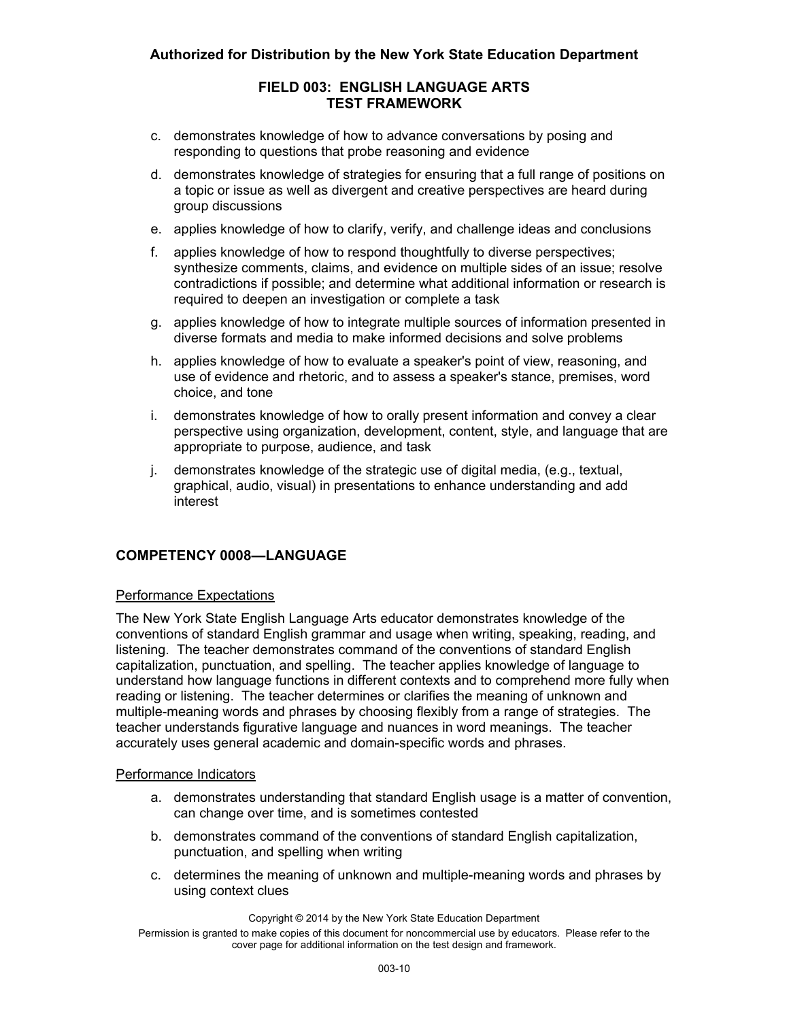## **Authorized for Distribution by the New York State Education Department**

## **FIELD 003: ENGLISH LANGUAGE ARTS TEST FRAMEWORK**

- c. demonstrates knowledge of how to advance conversations by posing and responding to questions that probe reasoning and evidence
- d. demonstrates knowledge of strategies for ensuring that a full range of positions on a topic or issue as well as divergent and creative perspectives are heard during group discussions
- e. applies knowledge of how to clarify, verify, and challenge ideas and conclusions
- f. applies knowledge of how to respond thoughtfully to diverse perspectives; synthesize comments, claims, and evidence on multiple sides of an issue; resolve contradictions if possible; and determine what additional information or research is required to deepen an investigation or complete a task
- g. applies knowledge of how to integrate multiple sources of information presented in diverse formats and media to make informed decisions and solve problems
- h. applies knowledge of how to evaluate a speaker's point of view, reasoning, and use of evidence and rhetoric, and to assess a speaker's stance, premises, word choice, and tone
- i. demonstrates knowledge of how to orally present information and convey a clear perspective using organization, development, content, style, and language that are appropriate to purpose, audience, and task
- j. demonstrates knowledge of the strategic use of digital media, (e.g., textual, graphical, audio, visual) in presentations to enhance understanding and add interest

## **COMPETENCY 0008—LANGUAGE**

#### Performance Expectations

The New York State English Language Arts educator demonstrates knowledge of the conventions of standard English grammar and usage when writing, speaking, reading, and listening. The teacher demonstrates command of the conventions of standard English capitalization, punctuation, and spelling. The teacher applies knowledge of language to understand how language functions in different contexts and to comprehend more fully when reading or listening. The teacher determines or clarifies the meaning of unknown and multiple-meaning words and phrases by choosing flexibly from a range of strategies. The teacher understands figurative language and nuances in word meanings. The teacher accurately uses general academic and domain-specific words and phrases.

#### Performance Indicators

- can change over time, and is sometimes contested a. demonstrates understanding that standard English usage is a matter of convention,
- b. demonstrates command of the conventions of standard English capitalization, punctuation, and spelling when writing
- c. determines the meaning of unknown and multiple-meaning words and phrases by using context clues

Copyright © 2014 by the New York State Education Department

Permission is granted to make copies of this document for noncommercial use by educators. Please refer to the cover page for additional information on the test design and framework.